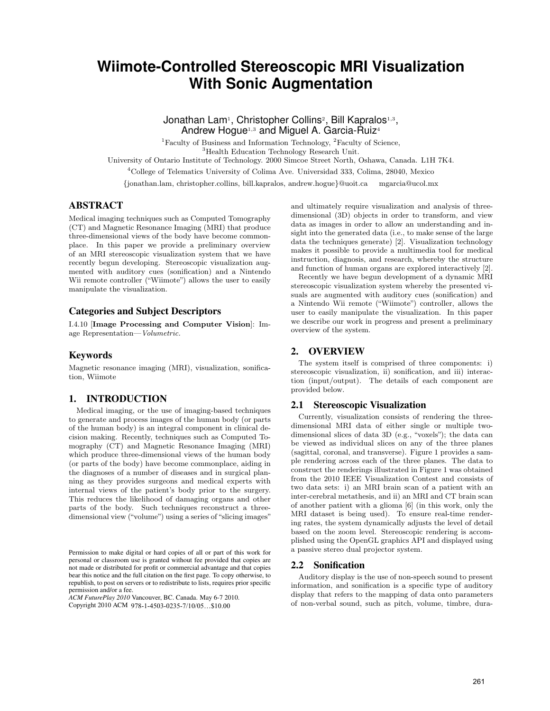# **Wiimote-Controlled Stereoscopic MRI Visualization With Sonic Augmentation**

Jonathan Lam<sup>1</sup>, Christopher Collins<sup>2</sup>, Bill Kapralos<sup>1,3</sup>, Andrew Hogue<sup>1,3</sup> and Miguel A. Garcia-Ruiz<sup>4</sup>

<sup>1</sup>Faculty of Business and Information Technology, <sup>2</sup>Faculty of Science,

<sup>3</sup>Health Education Technology Research Unit.

University of Ontario Institute of Technology. 2000 Simcoe Street North, Oshawa, Canada. L1H 7K4.

<sup>4</sup>College of Telematics University of Colima Ave. Universidad 333, Colima, 28040, Mexico

{jonathan.lam, christopher.collins, bill.kapralos, andrew.hogue}@uoit.ca mgarcia@ucol.mx

### ABSTRACT

Medical imaging techniques such as Computed Tomography (CT) and Magnetic Resonance Imaging (MRI) that produce three-dimensional views of the body have become commonplace. In this paper we provide a preliminary overview of an MRI stereoscopic visualization system that we have recently begun developing. Stereoscopic visualization augmented with auditory cues (sonification) and a Nintendo Wii remote controller ("Wiimote") allows the user to easily manipulate the visualization.

### Categories and Subject Descriptors

I.4.10 [**Image Processing and Computer Vision**]: Image Representation—Volumetric.

## Keywords

Magnetic resonance imaging (MRI), visualization, sonification, Wiimote

## 1. INTRODUCTION

Medical imaging, or the use of imaging-based techniques to generate and process images of the human body (or parts of the human body) is an integral component in clinical decision making. Recently, techniques such as Computed Tomography (CT) and Magnetic Resonance Imaging (MRI) which produce three-dimensional views of the human body (or parts of the body) have become commonplace, aiding in the diagnoses of a number of diseases and in surgical planning as they provides surgeons and medical experts with internal views of the patient's body prior to the surgery. This reduces the likelihood of damaging organs and other parts of the body. Such techniques reconstruct a threedimensional view ("volume") using a series of "slicing images"

*ACM FuturePlay 2010* Vancouver, BC. Canada. May 6-7 2010. Copyright 2010 ACM 978-1-4503-0235-7/10/05...\$10.00

and ultimately require visualization and analysis of threedimensional (3D) objects in order to transform, and view data as images in order to allow an understanding and insight into the generated data (i.e., to make sense of the large data the techniques generate) [2]. Visualization technology makes it possible to provide a multimedia tool for medical instruction, diagnosis, and research, whereby the structure and function of human organs are explored interactively [2].

Recently we have begun development of a dynamic MRI stereoscopic visualization system whereby the presented visuals are augmented with auditory cues (sonification) and a Nintendo Wii remote ("Wiimote") controller, allows the user to easily manipulate the visualization. In this paper we describe our work in progress and present a preliminary overview of the system.

## 2. OVERVIEW

The system itself is comprised of three components: i) stereoscopic visualization, ii) sonification, and iii) interaction (input/output). The details of each component are provided below.

### 2.1 Stereoscopic Visualization

Currently, visualization consists of rendering the threedimensional MRI data of either single or multiple twodimensional slices of data 3D (e.g., "voxels"); the data can be viewed as individual slices on any of the three planes (sagittal, coronal, and transverse). Figure 1 provides a sample rendering across each of the three planes. The data to construct the renderings illustrated in Figure 1 was obtained from the 2010 IEEE Visualization Contest and consists of two data sets: i) an MRI brain scan of a patient with an inter-cerebral metathesis, and ii) an MRI and CT brain scan of another patient with a glioma [6] (in this work, only the MRI dataset is being used). To ensure real-time rendering rates, the system dynamically adjusts the level of detail based on the zoom level. Stereoscopic rendering is accomplished using the OpenGL graphics API and displayed using a passive stereo dual projector system.

### 2.2 Sonification

Auditory display is the use of non-speech sound to present information, and sonification is a specific type of auditory display that refers to the mapping of data onto parameters of non-verbal sound, such as pitch, volume, timbre, dura-

Permission to make digital or hard copies of all or part of this work for personal or classroom use is granted without fee provided that copies are not made or distributed for profit or commercial advantage and that copies bear this notice and the full citation on the first page. To copy otherwise, to republish, to post on servers or to redistribute to lists, requires prior specific permission and/or a fee.